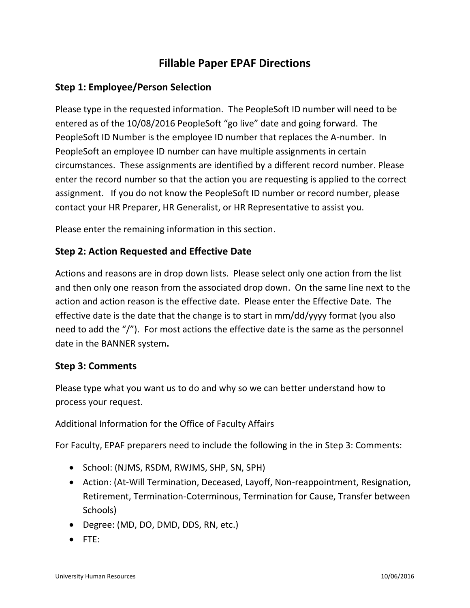# **Fillable Paper EPAF Directions**

# **Step 1: Employee/Person Selection**

Please type in the requested information. The PeopleSoft ID number will need to be entered as of the 10/08/2016 PeopleSoft "go live" date and going forward. The PeopleSoft ID Number is the employee ID number that replaces the A-number. In PeopleSoft an employee ID number can have multiple assignments in certain circumstances. These assignments are identified by a different record number. Please enter the record number so that the action you are requesting is applied to the correct assignment. If you do not know the PeopleSoft ID number or record number, please contact your HR Preparer, HR Generalist, or HR Representative to assist you.

Please enter the remaining information in this section.

## **Step 2: Action Requested and Effective Date**

Actions and reasons are in drop down lists. Please select only one action from the list and then only one reason from the associated drop down. On the same line next to the action and action reason is the effective date. Please enter the Effective Date. The effective date is the date that the change is to start in mm/dd/yyyy format (you also need to add the "/"). For most actions the effective date is the same as the personnel date in the BANNER system**.** 

#### **Step 3: Comments**

Please type what you want us to do and why so we can better understand how to process your request.

#### Additional Information for the Office of Faculty Affairs

For Faculty, EPAF preparers need to include the following in the in Step 3: Comments:

- School: (NJMS, RSDM, RWJMS, SHP, SN, SPH)
- Action: (At-Will Termination, Deceased, Layoff, Non-reappointment, Resignation, Retirement, Termination-Coterminous, Termination for Cause, Transfer between Schools)
- Degree: (MD, DO, DMD, DDS, RN, etc.)
- FTE: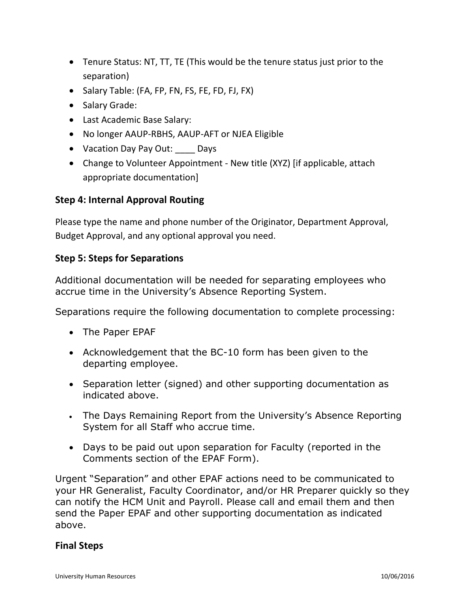- Tenure Status: NT, TT, TE (This would be the tenure status just prior to the separation)
- Salary Table: (FA, FP, FN, FS, FE, FD, FJ, FX)
- Salary Grade:
- Last Academic Base Salary:
- No longer AAUP-RBHS, AAUP-AFT or NJEA Eligible
- Vacation Day Pay Out: Days
- Change to Volunteer Appointment New title (XYZ) [if applicable, attach appropriate documentation]

## **Step 4: Internal Approval Routing**

Please type the name and phone number of the Originator, Department Approval, Budget Approval, and any optional approval you need.

## **Step 5: Steps for Separations**

Additional documentation will be needed for separating employees who accrue time in the University's Absence Reporting System.

Separations require the following documentation to complete processing:

- The Paper EPAF
- Acknowledgement that the BC-10 form has been given to the departing employee.
- Separation letter (signed) and other supporting documentation as indicated above.
- The Days Remaining Report from the University's Absence Reporting System for all Staff who accrue time.
- Days to be paid out upon separation for Faculty (reported in the Comments section of the EPAF Form).

Urgent "Separation" and other EPAF actions need to be communicated to your HR Generalist, Faculty Coordinator, and/or HR Preparer quickly so they can notify the HCM Unit and Payroll. Please call and email them and then send the Paper EPAF and other supporting documentation as indicated above.

#### **Final Steps**